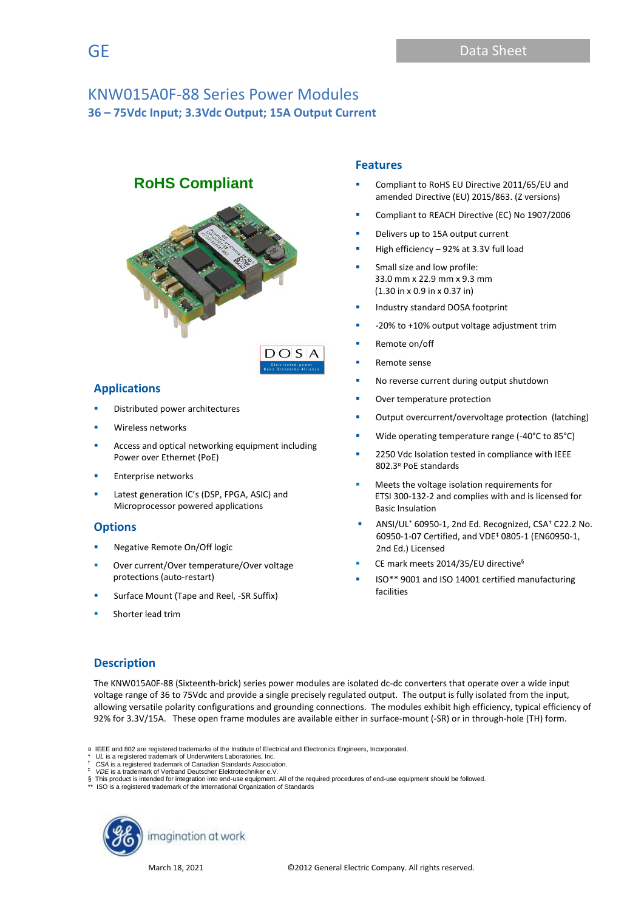# **RoHS Compliant**



## **Applications**

- Distributed power architectures
- Wireless networks
- Access and optical networking equipment including Power over Ethernet (PoE)
- **Enterprise networks**
- Latest generation IC's (DSP, FPGA, ASIC) and Microprocessor powered applications

## **Options**

- Negative Remote On/Off logic
- Over current/Over temperature/Over voltage protections (auto-restart)
- Surface Mount (Tape and Reel, -SR Suffix)
- Shorter lead trim

## **Features**

- Compliant to RoHS EU Directive 2011/65/EU and amended Directive (EU) 2015/863. (Z versions)
- Compliant to REACH Directive (EC) No 1907/2006
- Delivers up to 15A output current
- High efficiency  $-92%$  at 3.3V full load
- Small size and low profile: 33.0 mm x 22.9 mm x 9.3 mm (1.30 in x 0.9 in x 0.37 in)
- Industry standard DOSA footprint
- -20% to +10% output voltage adjustment trim
- Remote on/off
- Remote sense
- No reverse current during output shutdown
- Over temperature protection
- Output overcurrent/overvoltage protection (latching)
- Wide operating temperature range (-40°C to 85°C)
- 2250 Vdc Isolation tested in compliance with IEEE 802.3¤ PoE standards
- Meets the voltage isolation requirements for ETSI 300-132-2 and complies with and is licensed for Basic Insulation
- ANSI/UL\* 60950-1, 2nd Ed. Recognized, CSA† C22.2 No. 60950-1-07 Certified, and VDE‡ 0805-1 (EN60950-1, 2nd Ed.) Licensed
- CE mark meets 2014/35/EU directive<sup>§</sup>
- ISO\*\* 9001 and ISO 14001 certified manufacturing facilities

## **Description**

The KNW015A0F-88 (Sixteenth-brick) series power modules are isolated dc-dc converters that operate over a wide input voltage range of 36 to 75Vdc and provide a single precisely regulated output. The output is fully isolated from the input, allowing versatile polarity configurations and grounding connections. The modules exhibit high efficiency, typical efficiency of 92% for 3.3V/15A. These open frame modules are available either in surface-mount (-SR) or in through-hole (TH) form.

<sup>§</sup> This product is intended for integration into end-use equipment. All of the required procedures of end-use equipment should be followed. \*\* ISO is a registered trademark of the International Organization of Standards



<sup>¤</sup> IEEE and 802 are registered trademarks of the Institute of Electrical and Electronics Engineers, Incorporated.

UL is a registered trademark of Underwriters Laboratories, Inc.

<sup>†</sup> *CSA* is a registered trademark of Canadian Standards Association. ‡ *VDE* is a trademark of Verband Deutscher Elektrotechniker e.V.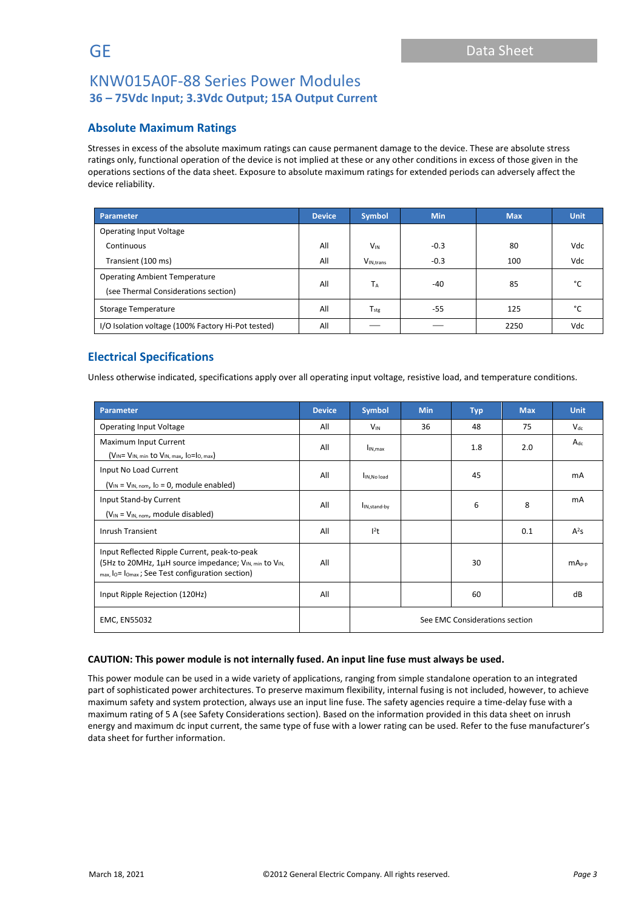## **Absolute Maximum Ratings**

Stresses in excess of the absolute maximum ratings can cause permanent damage to the device. These are absolute stress ratings only, functional operation of the device is not implied at these or any other conditions in excess of those given in the operations sections of the data sheet. Exposure to absolute maximum ratings for extended periods can adversely affect the device reliability.

| Parameter                                          | <b>Device</b> | <b>Symbol</b>          | <b>Min</b> | <b>Max</b> | <b>Unit</b>   |  |
|----------------------------------------------------|---------------|------------------------|------------|------------|---------------|--|
| <b>Operating Input Voltage</b>                     |               |                        |            |            |               |  |
| Continuous                                         | All           | $V_{IN}$               | $-0.3$     | 80         | Vdc           |  |
| Transient (100 ms)                                 | All           | V <sub>IN, trans</sub> | $-0.3$     | 100        | Vdc           |  |
| <b>Operating Ambient Temperature</b>               | All           | <b>TA</b>              | $-40$      | 85         | °۲            |  |
| (see Thermal Considerations section)               |               |                        |            |            |               |  |
| Storage Temperature                                | All           | $T_{\rm stg}$          | $-55$      | 125        | $\mathcal{C}$ |  |
| I/O Isolation voltage (100% Factory Hi-Pot tested) | All           |                        |            | 2250       | Vdc           |  |

## **Electrical Specifications**

Unless otherwise indicated, specifications apply over all operating input voltage, resistive load, and temperature conditions.

| <b>Parameter</b>                                                                                                                                                                        | <b>Device</b> | Symbol                         | <b>Min</b> | <b>Typ</b> | <b>Max</b> | <b>Unit</b> |
|-----------------------------------------------------------------------------------------------------------------------------------------------------------------------------------------|---------------|--------------------------------|------------|------------|------------|-------------|
| <b>Operating Input Voltage</b>                                                                                                                                                          | All           | $V_{IN}$                       | 36         | 48         | 75         | $V_{dc}$    |
| Maximum Input Current<br>$(V_{IN} = V_{IN, min}$ to $V_{IN, max}$ , $I_0 = I_0$ , max)                                                                                                  | All           | I <sub>IN.max</sub>            |            | 1.8        | 2.0        | $A_{dc}$    |
| Input No Load Current<br>$(V_{IN} = V_{IN, nom, 10} = 0$ , module enabled)                                                                                                              | All           | IIN.No load                    |            | 45         |            | mA          |
| Input Stand-by Current<br>$(V_{IN} = V_{IN. nom}$ , module disabled)                                                                                                                    | All           | I <sub>IN, stand-by</sub>      |            | 6          | 8          | mA          |
| <b>Inrush Transient</b><br>All                                                                                                                                                          |               | $l^2t$                         |            |            | 0.1        | $A^2S$      |
| Input Reflected Ripple Current, peak-to-peak<br>(5Hz to 20MHz, 1µH source impedance; V <sub>IN, min</sub> to V <sub>IN,</sub><br>All<br>max, lo= lomax; See Test configuration section) |               |                                |            | 30         |            | $mA_{p-p}$  |
| Input Ripple Rejection (120Hz)                                                                                                                                                          | All           |                                |            | 60         |            | dB          |
| <b>EMC, EN55032</b>                                                                                                                                                                     |               | See EMC Considerations section |            |            |            |             |

#### **CAUTION: This power module is not internally fused. An input line fuse must always be used.**

This power module can be used in a wide variety of applications, ranging from simple standalone operation to an integrated part of sophisticated power architectures. To preserve maximum flexibility, internal fusing is not included, however, to achieve maximum safety and system protection, always use an input line fuse. The safety agencies require a time-delay fuse with a maximum rating of 5 A (see Safety Considerations section). Based on the information provided in this data sheet on inrush energy and maximum dc input current, the same type of fuse with a lower rating can be used. Refer to the fuse manufacturer's data sheet for further information.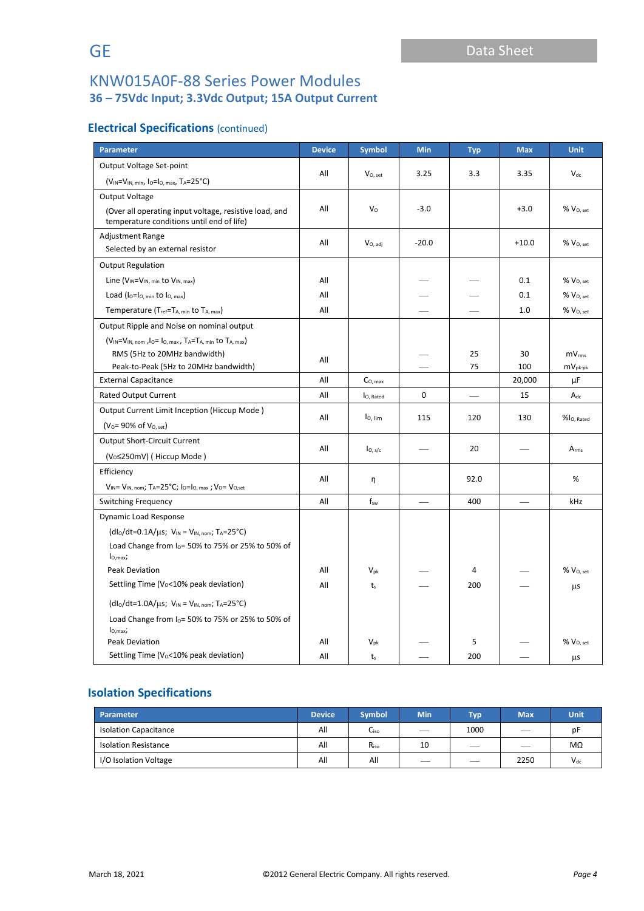## **Electrical Specifications** (continued)

| <b>Parameter</b>                                                                                            | <b>Device</b> | <b>Symbol</b>        | Min     | <b>Typ</b> | <b>Max</b> | <b>Unit</b>              |
|-------------------------------------------------------------------------------------------------------------|---------------|----------------------|---------|------------|------------|--------------------------|
| Output Voltage Set-point                                                                                    |               |                      |         |            |            |                          |
| $(V_{IN} = V_{IN, min}$ , lo=lo, max, TA=25°C)                                                              | All           | $V_{O, set}$         | 3.25    | 3.3        | 3.35       | $V_{dc}$                 |
| Output Voltage                                                                                              |               |                      |         |            |            |                          |
| (Over all operating input voltage, resistive load, and<br>temperature conditions until end of life)         | All           | V <sub>o</sub>       | $-3.0$  |            | $+3.0$     | $%$ $V0. set$            |
| <b>Adjustment Range</b><br>Selected by an external resistor                                                 | All           | $V_{O, \text{ adj}}$ | $-20.0$ |            | $+10.0$    | $\%$ $\rm V_{O, \, set}$ |
| <b>Output Regulation</b>                                                                                    |               |                      |         |            |            |                          |
| Line ( $V_{IN} = V_{IN, min}$ to $V_{IN, max}$ )                                                            | All           |                      |         |            | 0.1        | $%$ $V0. set$            |
| Load ( $I_0 = I_0$ , min to $I_0$ , max)                                                                    | All           |                      |         |            | 0.1        | % V <sub>O. set</sub>    |
| Temperature (T <sub>ref</sub> =T <sub>A, min</sub> to T <sub>A, max</sub> )                                 | All           |                      |         |            | 1.0        | %V <sub>0. set</sub>     |
| Output Ripple and Noise on nominal output                                                                   |               |                      |         |            |            |                          |
| (VIN=VIN, nom, lo= lo, max, TA=TA, min to TA, max)                                                          |               |                      |         |            |            |                          |
| RMS (5Hz to 20MHz bandwidth)                                                                                | All           |                      |         | 25         | 30         | mV <sub>rms</sub>        |
| Peak-to-Peak (5Hz to 20MHz bandwidth)                                                                       |               |                      |         | 75         | 100        | $mV_{pk-pk}$             |
| <b>External Capacitance</b>                                                                                 | All           | $C_{O, max}$         |         |            | 20,000     | μF                       |
| <b>Rated Output Current</b>                                                                                 | All           | lo, Rated            | 0       |            | 15         | $A_{dc}$                 |
| Output Current Limit Inception (Hiccup Mode)                                                                | All           | lo, lim              | 115     | 120        | 130        | %l <sub>O, Rated</sub>   |
| $(V_0 = 90\% \text{ of } V_{0, \text{ set}})$                                                               |               |                      |         |            |            |                          |
| <b>Output Short-Circuit Current</b>                                                                         | All           | I <sub>O, s/c</sub>  |         | 20         |            | $A_{rms}$                |
| (V <sub>o</sub> ≤250mV) (Hiccup Mode)                                                                       |               |                      |         |            |            |                          |
| Efficiency                                                                                                  |               |                      |         |            |            |                          |
| $V_{IN} = V_{IN, nom}$ ; TA=25°C; I <sub>O</sub> =I <sub>O, max</sub> ; V <sub>O</sub> = V <sub>O,set</sub> | All           | η                    |         | 92.0       |            | %                        |
| <b>Switching Frequency</b>                                                                                  | All           | $f_{sw}$             |         | 400        |            | kHz                      |
| Dynamic Load Response                                                                                       |               |                      |         |            |            |                          |
| $(dI_0/dt=0.1A/\mu s; V_{IN} = V_{IN, nom}; T_A=25°C)$                                                      |               |                      |         |            |            |                          |
| Load Change from $I_0$ = 50% to 75% or 25% to 50% of<br>$I_{O,max}$                                         |               |                      |         |            |            |                          |
| <b>Peak Deviation</b>                                                                                       | All           | $V_{pk}$             |         | 4          |            | % V <sub>0, set</sub>    |
| Settling Time (V <sub>0</sub> <10% peak deviation)                                                          | All           | t <sub>s</sub>       |         | 200        |            | μs                       |
| $(dI_0/dt=1.0A/\mu s; V_{IN} = V_{IN, nom}; T_A=25°C)$                                                      |               |                      |         |            |            |                          |
| Load Change from $I_0$ = 50% to 75% or 25% to 50% of                                                        |               |                      |         |            |            |                          |
| $I_{O,max}$ ;<br>Peak Deviation                                                                             | All           | $V_{pk}$             |         | 5          |            | $%$ $VO, set$            |
| Settling Time (V <sub>0</sub> <10% peak deviation)                                                          | All           | t <sub>s</sub>       |         | 200        |            | μs                       |

## **Isolation Specifications**

| Parameter                    | Device <sup>1</sup> | <b>Symbol</b>    | <b>Min</b>                    | <b>Typ</b>               | <b>Max</b> | <b>Unit</b> |
|------------------------------|---------------------|------------------|-------------------------------|--------------------------|------------|-------------|
| <b>Isolation Capacitance</b> | All                 | Liso             | $\overbrace{\phantom{12332}}$ | 1000                     | —          | рF          |
| <b>Isolation Resistance</b>  | All                 | R <sub>iso</sub> | 10                            |                          |            | MΩ          |
| I/O Isolation Voltage        | All                 | All              | $\overline{\phantom{a}}$      | $\overline{\phantom{a}}$ | 2250       | $V_{dc}$    |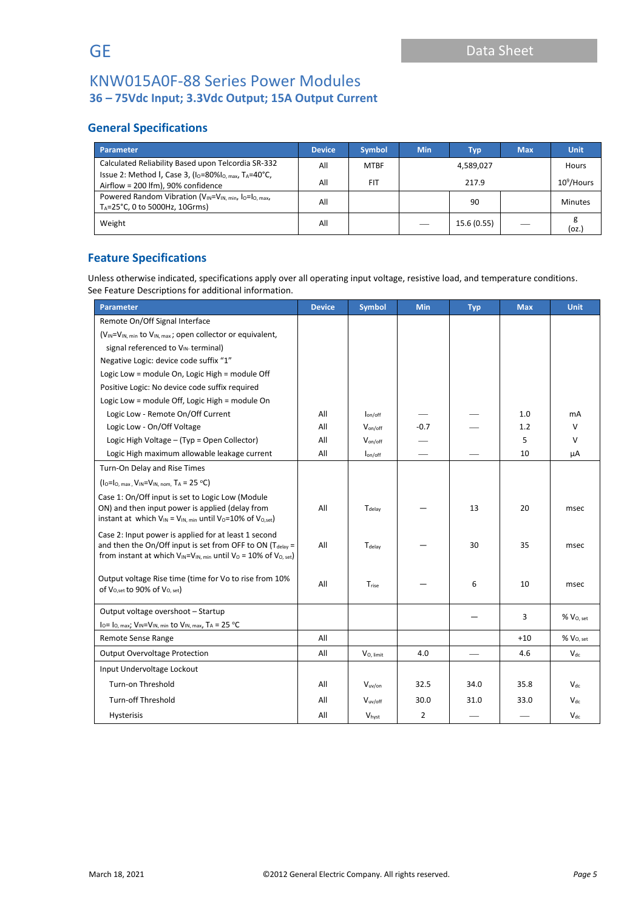## **General Specifications**

| <b>Parameter</b>                                                                                                                                      | <b>Device</b> | <b>Symbol</b> | <b>Min</b> | Typ         | <b>Max</b> | <b>Unit</b>    |
|-------------------------------------------------------------------------------------------------------------------------------------------------------|---------------|---------------|------------|-------------|------------|----------------|
| Calculated Reliability Based upon Telcordia SR-332                                                                                                    | All           | <b>MTBF</b>   |            | 4,589,027   |            | Hours          |
| Issue 2: Method I, Case 3, (I <sub>O</sub> =80%I <sub>O, max</sub> , TA=40°C,<br>Airflow = 200 lfm), 90% confidence                                   | All           | <b>FIT</b>    | 217.9      |             |            | $10^9$ /Hours  |
| Powered Random Vibration (V <sub>IN</sub> =V <sub>IN, min</sub> , I <sub>O</sub> =I <sub>O, max</sub> ,<br>T <sub>A</sub> =25°C, 0 to 5000Hz, 10Grms) | All           |               |            | 90          |            | <b>Minutes</b> |
| Weight                                                                                                                                                | All           |               |            | 15.6 (0.55) |            | (oz.)          |

## **Feature Specifications**

Unless otherwise indicated, specifications apply over all operating input voltage, resistive load, and temperature conditions. See Feature Descriptions for additional information.

| Parameter                                                                                                                                                 | <b>Device</b> | <b>Symbol</b>       | <b>Min</b> | <b>Typ</b> | <b>Max</b> | <b>Unit</b>           |
|-----------------------------------------------------------------------------------------------------------------------------------------------------------|---------------|---------------------|------------|------------|------------|-----------------------|
| Remote On/Off Signal Interface                                                                                                                            |               |                     |            |            |            |                       |
| $(V_{IN} = V_{IN, min}$ to $V_{IN, max}$ ; open collector or equivalent,                                                                                  |               |                     |            |            |            |                       |
| signal referenced to VIN-terminal)                                                                                                                        |               |                     |            |            |            |                       |
| Negative Logic: device code suffix "1"                                                                                                                    |               |                     |            |            |            |                       |
| Logic Low = module On, Logic High = module Off                                                                                                            |               |                     |            |            |            |                       |
| Positive Logic: No device code suffix required                                                                                                            |               |                     |            |            |            |                       |
| Logic Low = module Off, Logic High = module On                                                                                                            |               |                     |            |            |            |                       |
| Logic Low - Remote On/Off Current                                                                                                                         | All           | $I_{on/off}$        |            |            | 1.0        | mA                    |
| Logic Low - On/Off Voltage                                                                                                                                | All           | $V_{on/off}$        | $-0.7$     |            | 1.2        | v                     |
| Logic High Voltage - (Typ = Open Collector)                                                                                                               | All           | V <sub>on/off</sub> |            |            | 5          | $\vee$                |
| Logic High maximum allowable leakage current                                                                                                              | All           | $I_{on/off}$        |            |            | 10         | μA                    |
| Turn-On Delay and Rise Times                                                                                                                              |               |                     |            |            |            |                       |
| $(I_0=I_0$ , max, $V_{IN}=V_{IN, nom, TA} = 25 °C$                                                                                                        |               |                     |            |            |            |                       |
| Case 1: On/Off input is set to Logic Low (Module<br>ON) and then input power is applied (delay from                                                       | All           |                     |            | 13         | 20         |                       |
| instant at which $V_{IN} = V_{IN, min}$ until $V_0 = 10\%$ of $V_{O, set}$ )                                                                              |               | T <sub>delav</sub>  |            |            |            | msec                  |
| Case 2: Input power is applied for at least 1 second                                                                                                      |               |                     |            |            |            |                       |
| and then the On/Off input is set from OFF to ON ( $T_{\text{delay}}$ =<br>from instant at which $V_{IN} = V_{IN, min}$ until $V_0 = 10\%$ of $V_{O, set}$ | All           | T <sub>delav</sub>  |            | 30         | 35         | msec                  |
| Output voltage Rise time (time for Vo to rise from 10%                                                                                                    | All           | T <sub>rise</sub>   |            | 6          | 10         | msec                  |
| of V <sub>0,set</sub> to 90% of V <sub>0, set</sub> )                                                                                                     |               |                     |            |            |            |                       |
| Output voltage overshoot - Startup                                                                                                                        |               |                     |            |            | 3          | $\%$ $V_{O, set}$     |
| $I_0 = I_0$ , max; $V_{IN} = V_{IN}$ , min to $V_{IN}$ , max, $T_A = 25 °C$                                                                               |               |                     |            |            |            |                       |
| Remote Sense Range                                                                                                                                        | All           |                     |            |            | $+10$      | % V <sub>O. set</sub> |
| <b>Output Overvoltage Protection</b>                                                                                                                      | All           | $V_{O.$ limit       | 4.0        |            | 4.6        | $V_{dc}$              |
| Input Undervoltage Lockout                                                                                                                                |               |                     |            |            |            |                       |
| Turn-on Threshold                                                                                                                                         | All           | $V_{uv,on}$         | 32.5       | 34.0       | 35.8       | $V_{dc}$              |
| <b>Turn-off Threshold</b>                                                                                                                                 | All           | $V_{uv/off}$        | 30.0       | 31.0       | 33.0       | $V_{dc}$              |
| Hysterisis                                                                                                                                                | All           | Vhyst               | 2          |            |            | $V_{dc}$              |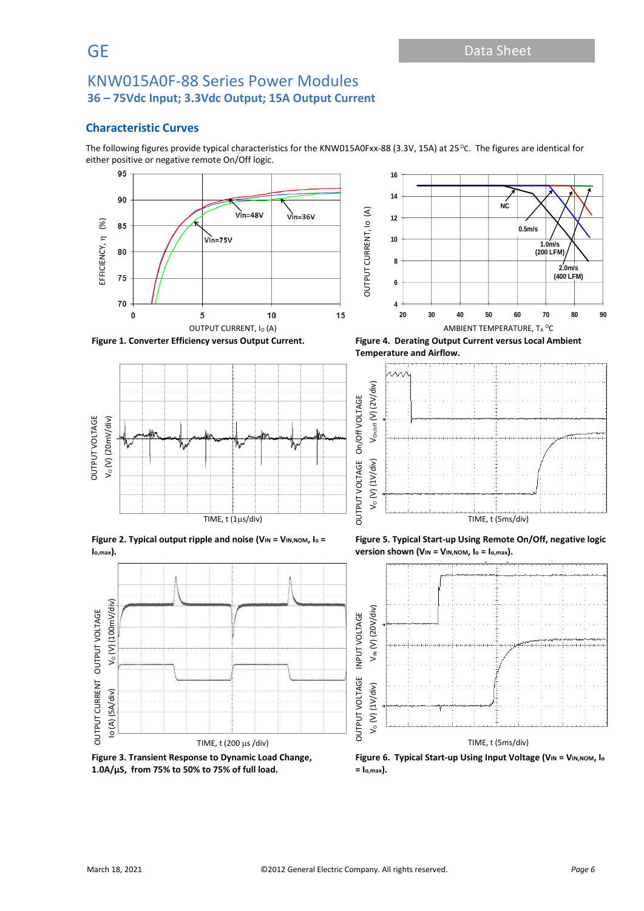## **Characteristic Curves**

The following figures provide typical characteristics for the KNW015A0Fxx-88 (3.3V, 15A) at 25 °C. The figures are identical for either positive or negative remote On/Off logic.





**Figure 1. Converter Efficiency versus Output Current. Figure 4. Derating Output Current versus Local Ambient** 



**Figure 2. Typical output ripple and noise (VIN = VIN,NOM, I<sup>o</sup> = Io,max).**



**Figure 3. Transient Response to Dynamic Load Change, 1.0A/µS, from 75% to 50% to 75% of full load.**

**Temperature and Airflow.**



**Figure 5. Typical Start-up Using Remote On/Off, negative logic version shown (VIN = VIN,NOM, I<sup>o</sup> = Io,max).**



**Figure 6. Typical Start-up Using Input Voltage (VIN = VIN,NOM, I<sup>o</sup> = Io,max).**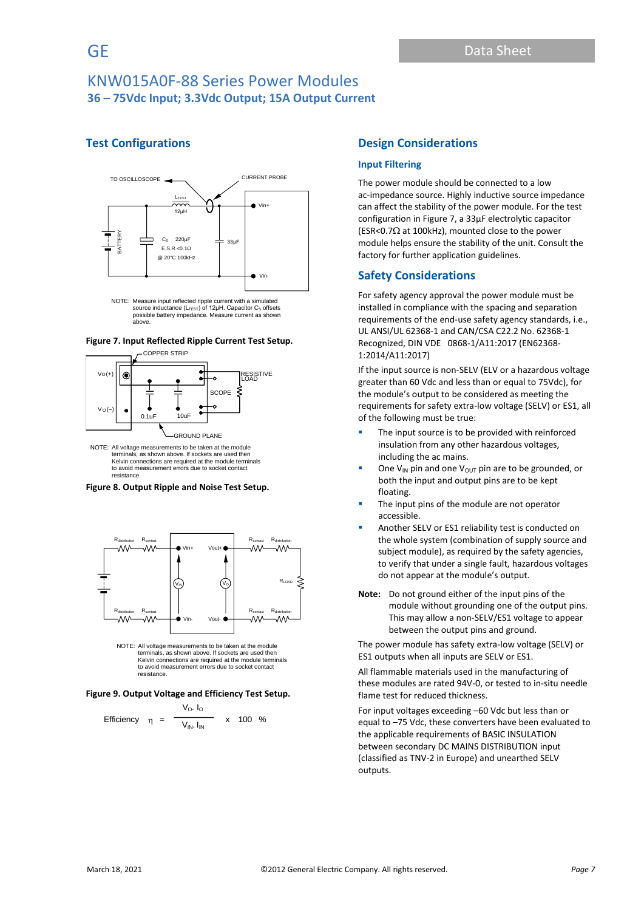## **Test Configurations**



NOTE: Measure input reflected ripple current with a simulated<br>source inductance (L<sub>TFST</sub>) of 12uH. Capacitor C<sub>S</sub> offsets source inductance (L<sub>TEST</sub>) of 12μH. Capacitor C<sub>s</sub> offsets<br>possible battery impedance. Measure current as shown<br>above.





NOTE: All voltage measurements to be taken at the module terminals, as shown above. If sockets are used then Kelvin connections are required at the module terminals to avoid measurement errors due to socket contact resistance.





NOTE: All voltage measurements to be taken at the module terminals, as shown above. If sockets are used then Kelvin connections are required at the module terminals to avoid measurement errors due to socket contact resistance.

#### **Figure 9. Output Voltage and Efficiency Test Setup.**

Efficiency 
$$
\eta = \frac{V_O. I_O}{V_{IN}. I_{IN}}
$$
 x 100 %

## **Design Considerations**

#### **Input Filtering**

The power module should be connected to a low ac-impedance source. Highly inductive source impedance can affect the stability of the power module. For the test configuration in Figure 7, a 33μF electrolytic capacitor (ESR<0.7 $\Omega$  at 100kHz), mounted close to the power module helps ensure the stability of the unit. Consult the factory for further application guidelines.

#### **Safety Considerations**

For safety agency approval the power module must be installed in compliance with the spacing and separation requirements of the end-use safety agency standards, i.e., UL ANSI/UL 62368-1 and CAN/CSA C22.2 No. 62368-1 Recognized, DIN VDE 0868-1/A11:2017 (EN62368- 1:2014/A11:2017)

If the input source is non-SELV (ELV or a hazardous voltage greater than 60 Vdc and less than or equal to 75Vdc), for the module's output to be considered as meeting the requirements for safety extra-low voltage (SELV) or ES1, all of the following must be true:

- **·** The input source is to be provided with reinforced insulation from any other hazardous voltages, including the ac mains.
- One V<sub>IN</sub> pin and one V<sub>OUT</sub> pin are to be grounded, or both the input and output pins are to be kept floating.
- The input pins of the module are not operator accessible.
- Another SELV or ES1 reliability test is conducted on the whole system (combination of supply source and subject module), as required by the safety agencies, to verify that under a single fault, hazardous voltages do not appear at the module's output.
- **Note:** Do not ground either of the input pins of the module without grounding one of the output pins. This may allow a non-SELV/ES1 voltage to appear between the output pins and ground.

The power module has safety extra-low voltage (SELV) or ES1 outputs when all inputs are SELV or ES1.

All flammable materials used in the manufacturing of these modules are rated 94V-0, or tested to in-situ needle flame test for reduced thickness.

For input voltages exceeding –60 Vdc but less than or equal to –75 Vdc, these converters have been evaluated to the applicable requirements of BASIC INSULATION between secondary DC MAINS DISTRIBUTION input (classified as TNV-2 in Europe) and unearthed SELV outputs.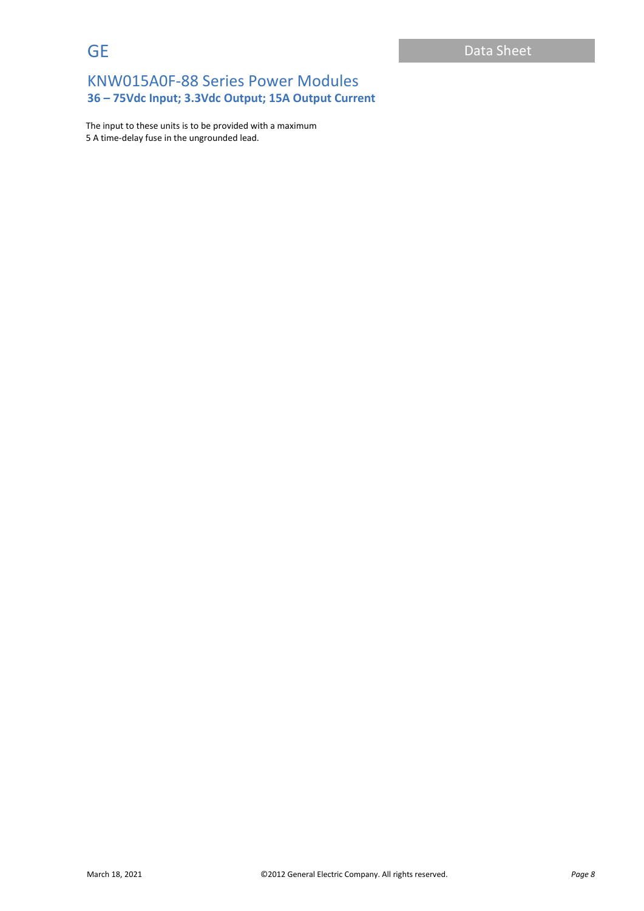The input to these units is to be provided with a maximum 5 A time-delay fuse in the ungrounded lead.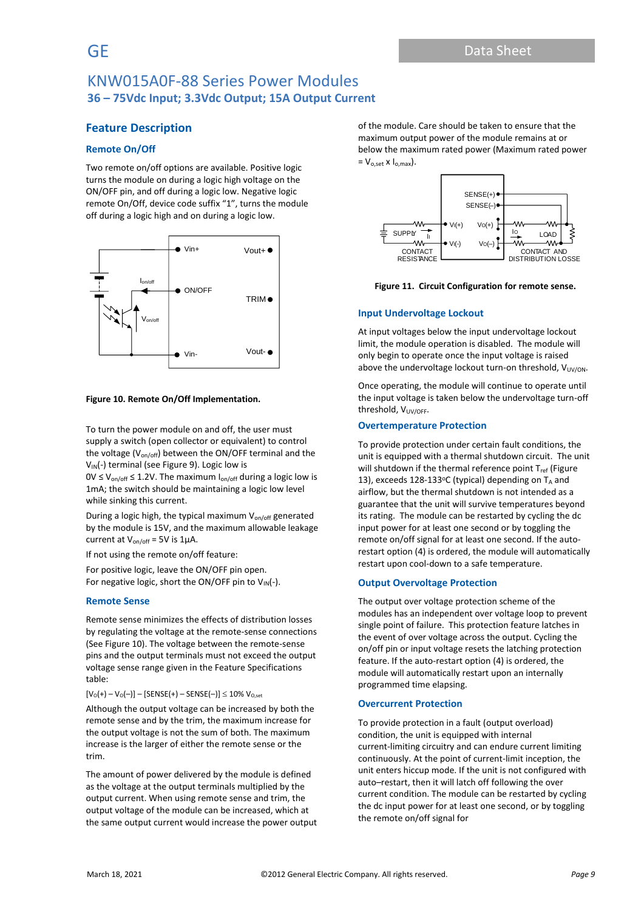### **Feature Description**

#### **Remote On/Off**

Two remote on/off options are available. Positive logic turns the module on during a logic high voltage on the ON/OFF pin, and off during a logic low. Negative logic remote On/Off, device code suffix "1", turns the module off during a logic high and on during a logic low.



#### **Figure 10. Remote On/Off Implementation.**

To turn the power module on and off, the user must supply a switch (open collector or equivalent) to control the voltage ( $V_{on/off}$ ) between the ON/OFF terminal and the V<sub>IN</sub>(-) terminal (see Figure 9). Logic low is

 $0V \le V_{on/off} \le 1.2V$ . The maximum  $I_{on/off}$  during a logic low is 1mA; the switch should be maintaining a logic low level while sinking this current.

During a logic high, the typical maximum  $V_{on/off}$  generated by the module is 15V, and the maximum allowable leakage current at  $V_{on/off}$  = 5V is 1 $\mu$ A.

If not using the remote on/off feature:

For positive logic, leave the ON/OFF pin open. For negative logic, short the ON/OFF pin to  $V_{IN}(-)$ .

#### **Remote Sense**

Remote sense minimizes the effects of distribution losses by regulating the voltage at the remote-sense connections (See Figure 10). The voltage between the remote-sense pins and the output terminals must not exceed the output voltage sense range given in the Feature Specifications table:

 $[V_0(+) - V_0(-)] -$  [SENSE(+) – SENSE(–)]  $\leq 10\%$  V<sub>O,set</sub>

Although the output voltage can be increased by both the remote sense and by the trim, the maximum increase for the output voltage is not the sum of both. The maximum increase is the larger of either the remote sense or the trim.

The amount of power delivered by the module is defined as the voltage at the output terminals multiplied by the output current. When using remote sense and trim, the output voltage of the module can be increased, which at the same output current would increase the power output of the module. Care should be taken to ensure that the maximum output power of the module remains at or below the maximum rated power (Maximum rated power  $= V_{o,set} \times I_{o,max}$ .





#### **Input Undervoltage Lockout**

At input voltages below the input undervoltage lockout limit, the module operation is disabled. The module will only begin to operate once the input voltage is raised above the undervoltage lockout turn-on threshold,  $V_{UV/ON}$ .

Once operating, the module will continue to operate until the input voltage is taken below the undervoltage turn-off threshold, V<sub>UV/OFF</sub>.

#### **Overtemperature Protection**

To provide protection under certain fault conditions, the unit is equipped with a thermal shutdown circuit. The unit will shutdown if the thermal reference point  $T_{ref}$  (Figure 13), exceeds  $128-133$ °C (typical) depending on T<sub>A</sub> and airflow, but the thermal shutdown is not intended as a guarantee that the unit will survive temperatures beyond its rating. The module can be restarted by cycling the dc input power for at least one second or by toggling the remote on/off signal for at least one second. If the autorestart option (4) is ordered, the module will automatically restart upon cool-down to a safe temperature.

#### **Output Overvoltage Protection**

The output over voltage protection scheme of the modules has an independent over voltage loop to prevent single point of failure. This protection feature latches in the event of over voltage across the output. Cycling the on/off pin or input voltage resets the latching protection feature. If the auto-restart option (4) is ordered, the module will automatically restart upon an internally programmed time elapsing.

#### **Overcurrent Protection**

To provide protection in a fault (output overload) condition, the unit is equipped with internal current-limiting circuitry and can endure current limiting continuously. At the point of current-limit inception, the unit enters hiccup mode. If the unit is not configured with auto–restart, then it will latch off following the over current condition. The module can be restarted by cycling the dc input power for at least one second, or by toggling the remote on/off signal for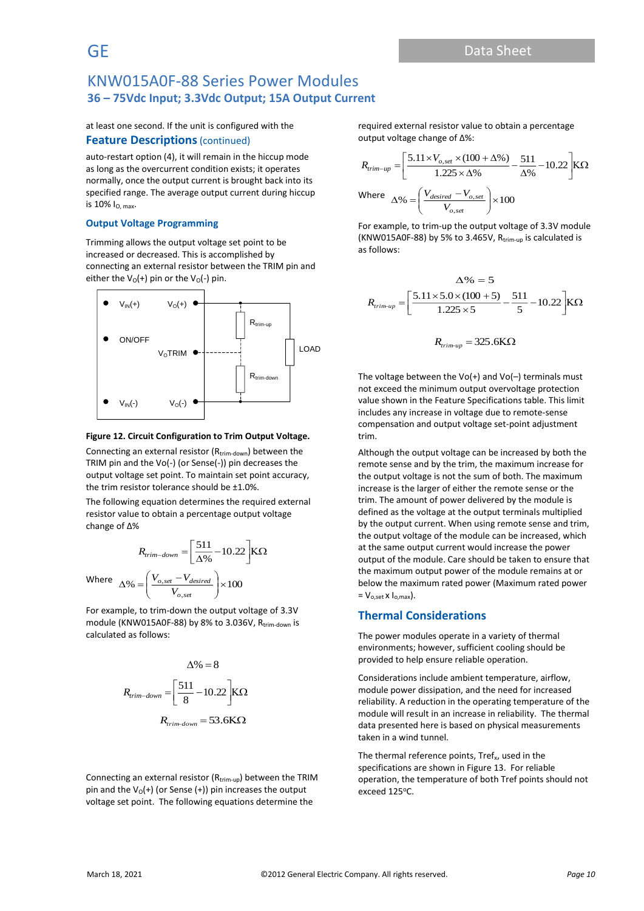at least one second. If the unit is configured with the

#### **Feature Descriptions** (continued)

auto-restart option (4), it will remain in the hiccup mode as long as the overcurrent condition exists; it operates normally, once the output current is brought back into its specified range. The average output current during hiccup is 10% IO, max.

#### **Output Voltage Programming**

Trimming allows the output voltage set point to be increased or decreased. This is accomplished by connecting an external resistor between the TRIM pin and either the  $V_0(+)$  pin or the  $V_0(-)$  pin.



#### **Figure 12. Circuit Configuration to Trim Output Voltage.**

Connecting an external resistor ( $R_{trim-down}$ ) between the TRIM pin and the Vo(-) (or Sense(-)) pin decreases the output voltage set point. To maintain set point accuracy, the trim resistor tolerance should be ±1.0%.

The following equation determines the required external resistor value to obtain a percentage output voltage change of Δ%

$$
R_{trim-down} = \left[\frac{511}{\Delta\%} - 10.22\right] K\Omega
$$

$$
\Delta\% = \left(\frac{V_{o,set} - V_{desired}}{V_{o,set}}\right) \times 100
$$

 $V_{o,set}$ 

For example, to trim-down the output voltage of 3.3V module (KNW015A0F-88) by 8% to 3.036V, Rtrim-down is calculated as follows:

$$
\Delta\% = 8
$$
  

$$
R_{trim-down} = \left[\frac{511}{8} - 10.22\right] K\Omega
$$
  

$$
R_{trim-down} = 53.6 K\Omega
$$

Connecting an external resistor ( $R_{\text{trim-up}}$ ) between the TRIM pin and the  $V_0(+)$  (or Sense (+)) pin increases the output voltage set point. The following equations determine the

required external resistor value to obtain a percentage output voltage change of Δ%:

$$
R_{trim-up} = \left[\frac{5.11 \times V_{o,set} \times (100 + \Delta\%)}{1.225 \times \Delta\%} - \frac{511}{\Delta\%} - 10.22\right] K\Omega
$$
  
Where 
$$
\Delta\% = \left(\frac{V_{desired} - V_{o,set}}{V_{o,set}}\right) \times 100
$$

For example, to trim-up the output voltage of 3.3V module (KNW015A0F-88) by 5% to 3.465V,  $R_{trim-up}$  is calculated is as follows:

$$
\Delta\% = 5
$$
  

$$
R_{trim-up} = \left[\frac{5.11 \times 5.0 \times (100 + 5)}{1.225 \times 5} - \frac{511}{5} - 10.22\right] K\Omega
$$
  

$$
R_{trim-up} = 325.6 K\Omega
$$

The voltage between the  $Vol+$ ) and  $Vol-$ ) terminals must not exceed the minimum output overvoltage protection value shown in the Feature Specifications table. This limit includes any increase in voltage due to remote-sense compensation and output voltage set-point adjustment trim.

Although the output voltage can be increased by both the remote sense and by the trim, the maximum increase for the output voltage is not the sum of both. The maximum increase is the larger of either the remote sense or the trim. The amount of power delivered by the module is defined as the voltage at the output terminals multiplied by the output current. When using remote sense and trim, the output voltage of the module can be increased, which at the same output current would increase the power output of the module. Care should be taken to ensure that the maximum output power of the module remains at or below the maximum rated power (Maximum rated power  $= V_{\text{o set}} x I_{\text{o max}}$ .

## **Thermal Considerations**

The power modules operate in a variety of thermal environments; however, sufficient cooling should be provided to help ensure reliable operation.

Considerations include ambient temperature, airflow, module power dissipation, and the need for increased reliability. A reduction in the operating temperature of the module will result in an increase in reliability. The thermal data presented here is based on physical measurements taken in a wind tunnel.

The thermal reference points, Tref<sub>x</sub>, used in the specifications are shown in Figure 13. For reliable operation, the temperature of both Tref points should not exceed 125°C.

Where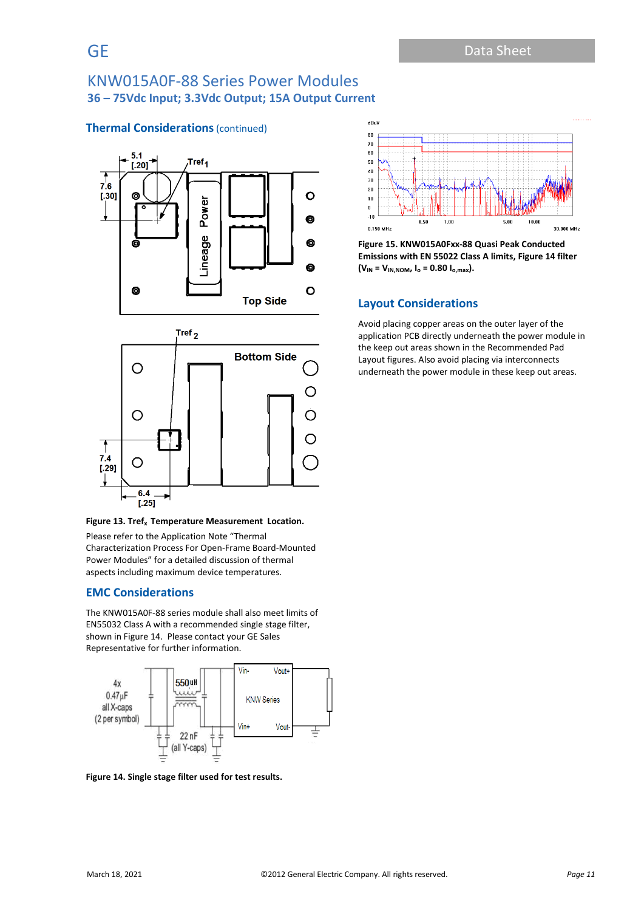## **Thermal Considerations** (continued)



#### **Figure 13. Tref<sup>x</sup> Temperature Measurement Location.**

Please refer to the Application Note "Thermal Characterization Process For Open-Frame Board-Mounted Power Modules" for a detailed discussion of thermal aspects including maximum device temperatures.

## **EMC Considerations**

The KNW015A0F-88 series module shall also meet limits of EN55032 Class A with a recommended single stage filter, shown in Figure 14. Please contact your GE Sales Representative for further information.



**Figure 14. Single stage filter used for test results.**



**Figure 15. KNW015A0Fxx-88 Quasi Peak Conducted Emissions with EN 55022 Class A limits, Figure 14 filter**  $(V_{IN} = V_{IN,NOM}$ ,  $I_o = 0.80 I_{o,max}$ .

## **Layout Considerations**

Avoid placing copper areas on the outer layer of the application PCB directly underneath the power module in the keep out areas shown in the Recommended Pad Layout figures. Also avoid placing via interconnects underneath the power module in these keep out areas.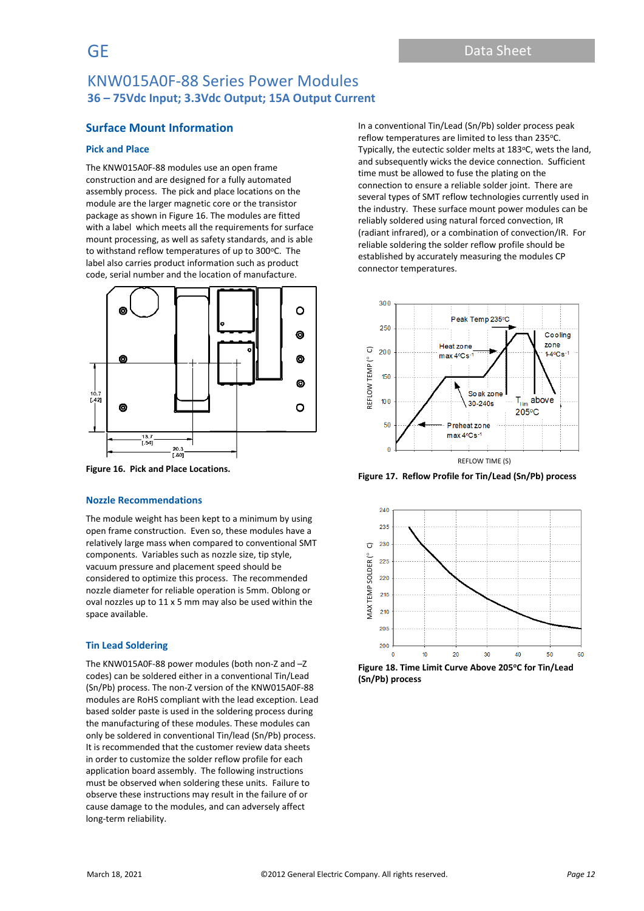## **Surface Mount Information**

#### **Pick and Place**

The KNW015A0F-88 modules use an open frame construction and are designed for a fully automated assembly process. The pick and place locations on the module are the larger magnetic core or the transistor package as shown in Figure 16. The modules are fitted with a label which meets all the requirements for surface mount processing, as well as safety standards, and is able to withstand reflow temperatures of up to 300°C. The label also carries product information such as product code, serial number and the location of manufacture.



**Figure 16. Pick and Place Locations.**

#### **Nozzle Recommendations**

The module weight has been kept to a minimum by using open frame construction. Even so, these modules have a relatively large mass when compared to conventional SMT components. Variables such as nozzle size, tip style, vacuum pressure and placement speed should be considered to optimize this process. The recommended nozzle diameter for reliable operation is 5mm. Oblong or oval nozzles up to 11 x 5 mm may also be used within the space available.

#### **Tin Lead Soldering**

The KNW015A0F-88 power modules (both non-Z and –Z codes) can be soldered either in a conventional Tin/Lead (Sn/Pb) process. The non-Z version of the KNW015A0F-88 modules are RoHS compliant with the lead exception. Lead based solder paste is used in the soldering process during the manufacturing of these modules. These modules can only be soldered in conventional Tin/lead (Sn/Pb) process. It is recommended that the customer review data sheets in order to customize the solder reflow profile for each application board assembly. The following instructions must be observed when soldering these units. Failure to observe these instructions may result in the failure of or cause damage to the modules, and can adversely affect long-term reliability.

In a conventional Tin/Lead (Sn/Pb) solder process peak reflow temperatures are limited to less than 235°C. Typically, the eutectic solder melts at 183°C, wets the land, and subsequently wicks the device connection. Sufficient time must be allowed to fuse the plating on the connection to ensure a reliable solder joint. There are several types of SMT reflow technologies currently used in the industry. These surface mount power modules can be reliably soldered using natural forced convection, IR (radiant infrared), or a combination of convection/IR. For reliable soldering the solder reflow profile should be established by accurately measuring the modules CP connector temperatures.



**Figure 17. Reflow Profile for Tin/Lead (Sn/Pb) process**



**Figure 18. Time Limit Curve Above 205<sup>o</sup>C for Tin/Lead (Sn/Pb) process**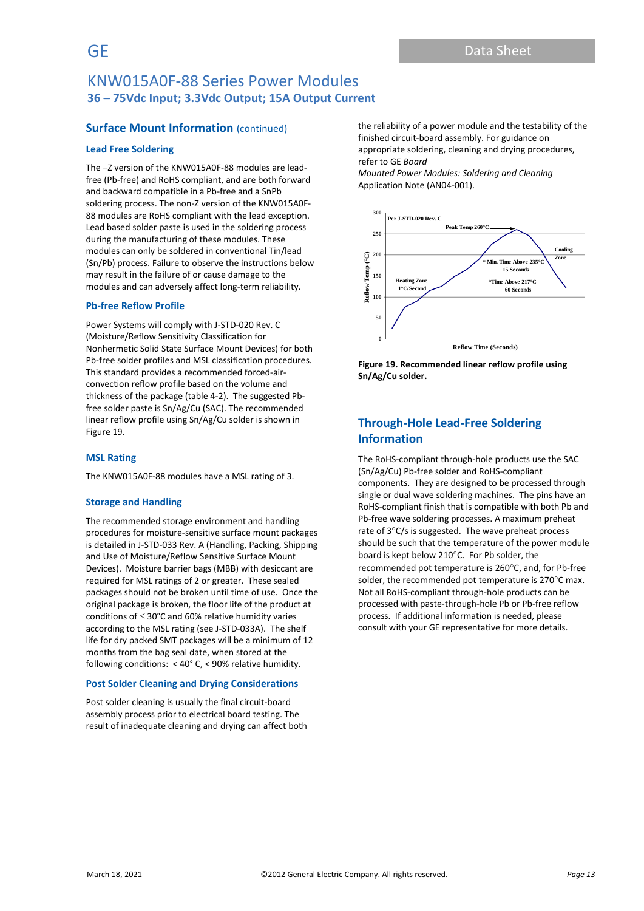## **Surface Mount Information** (continued)

#### **Lead Free Soldering**

The –Z version of the KNW015A0F-88 modules are leadfree (Pb-free) and RoHS compliant, and are both forward and backward compatible in a Pb-free and a SnPb soldering process. The non-Z version of the KNW015A0F-88 modules are RoHS compliant with the lead exception. Lead based solder paste is used in the soldering process during the manufacturing of these modules. These modules can only be soldered in conventional Tin/lead (Sn/Pb) process. Failure to observe the instructions below may result in the failure of or cause damage to the modules and can adversely affect long-term reliability.

#### **Pb-free Reflow Profile**

Power Systems will comply with J-STD-020 Rev. C (Moisture/Reflow Sensitivity Classification for Nonhermetic Solid State Surface Mount Devices) for both Pb-free solder profiles and MSL classification procedures. This standard provides a recommended forced-airconvection reflow profile based on the volume and thickness of the package (table 4-2). The suggested Pbfree solder paste is Sn/Ag/Cu (SAC). The recommended linear reflow profile using Sn/Ag/Cu solder is shown in Figure 19.

#### **MSL Rating**

The KNW015A0F-88 modules have a MSL rating of 3.

#### **Storage and Handling**

The recommended storage environment and handling procedures for moisture-sensitive surface mount packages is detailed in J-STD-033 Rev. A (Handling, Packing, Shipping and Use of Moisture/Reflow Sensitive Surface Mount Devices). Moisture barrier bags (MBB) with desiccant are required for MSL ratings of 2 or greater. These sealed packages should not be broken until time of use. Once the original package is broken, the floor life of the product at conditions of  $\leq 30^{\circ}$ C and 60% relative humidity varies according to the MSL rating (see J-STD-033A). The shelf life for dry packed SMT packages will be a minimum of 12 months from the bag seal date, when stored at the following conditions: < 40° C, < 90% relative humidity.

#### **Post Solder Cleaning and Drying Considerations**

Post solder cleaning is usually the final circuit-board assembly process prior to electrical board testing. The result of inadequate cleaning and drying can affect both

the reliability of a power module and the testability of the finished circuit-board assembly. For guidance on appropriate soldering, cleaning and drying procedures, refer to GE *Board* 

*Mounted Power Modules: Soldering and Cleaning* Application Note (AN04-001).



**Figure 19. Recommended linear reflow profile using Sn/Ag/Cu solder.**

## **Through-Hole Lead-Free Soldering Information**

The RoHS-compliant through-hole products use the SAC (Sn/Ag/Cu) Pb-free solder and RoHS-compliant components. They are designed to be processed through single or dual wave soldering machines. The pins have an RoHS-compliant finish that is compatible with both Pb and Pb-free wave soldering processes. A maximum preheat rate of  $3^{\circ}$ C/s is suggested. The wave preheat process should be such that the temperature of the power module board is kept below 210°C. For Pb solder, the recommended pot temperature is 260°C, and, for Pb-free solder, the recommended pot temperature is  $270^{\circ}$ C max. Not all RoHS-compliant through-hole products can be processed with paste-through-hole Pb or Pb-free reflow process. If additional information is needed, please consult with your GE representative for more details.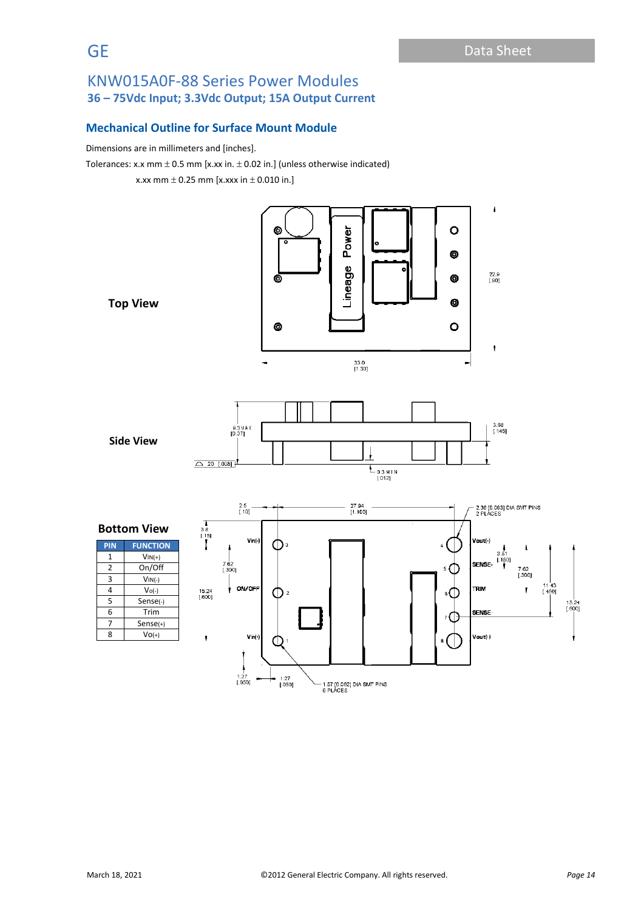## **Mechanical Outline for Surface Mount Module**

Dimensions are in millimeters and [inches].

Tolerances: x.x mm  $\pm$  0.5 mm [x.xx in.  $\pm$  0.02 in.] (unless otherwise indicated)

x.xx mm  $\pm$  0.25 mm [x.xxx in  $\pm$  0.010 in.]

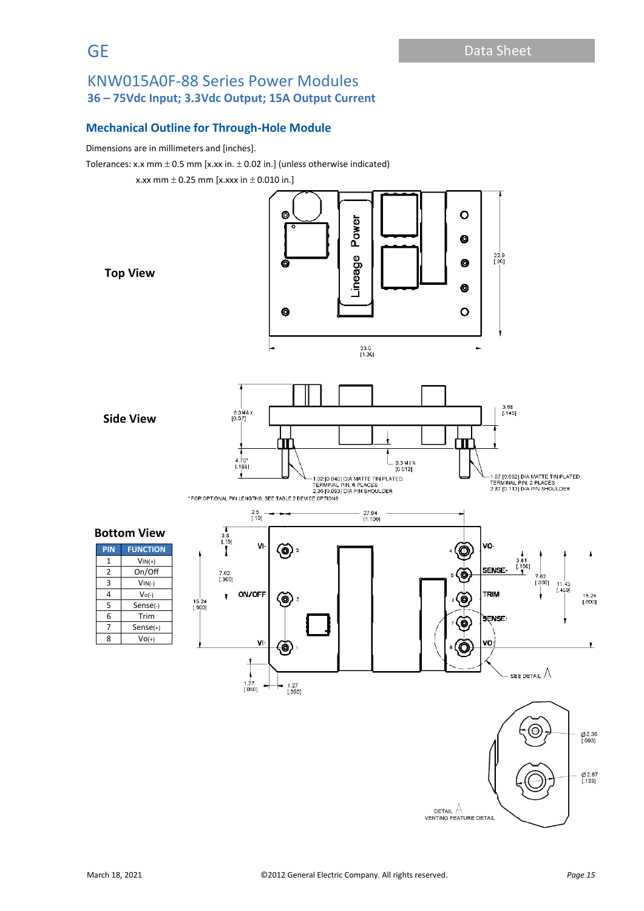## **Mechanical Outline for Through-Hole Module**

Dimensions are in millimeters and [inches].

Tolerances: x.x mm  $\pm$  0.5 mm [x.xx in.  $\pm$  0.02 in.] (unless otherwise indicated)

x.xx mm  $\pm$  0.25 mm [x.xxx in  $\pm$  0.010 in.]

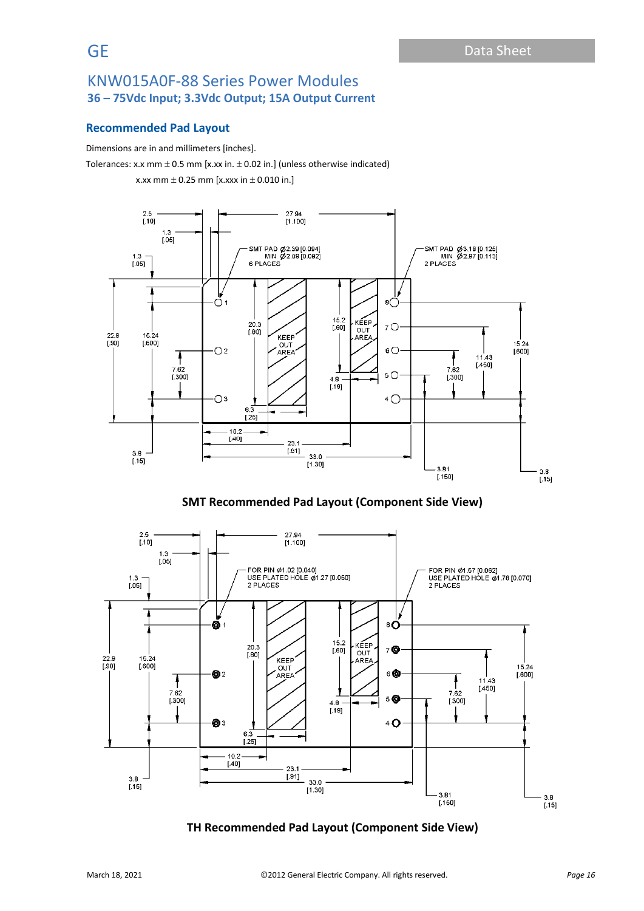## **Recommended Pad Layout**

Dimensions are in and millimeters [inches].

Tolerances: x.x mm  $\pm$  0.5 mm [x.xx in.  $\pm$  0.02 in.] (unless otherwise indicated) x.xx mm  $\pm$  0.25 mm [x.xxx in  $\pm$  0.010 in.]



**SMT Recommended Pad Layout (Component Side View)**



## **TH Recommended Pad Layout (Component Side View)**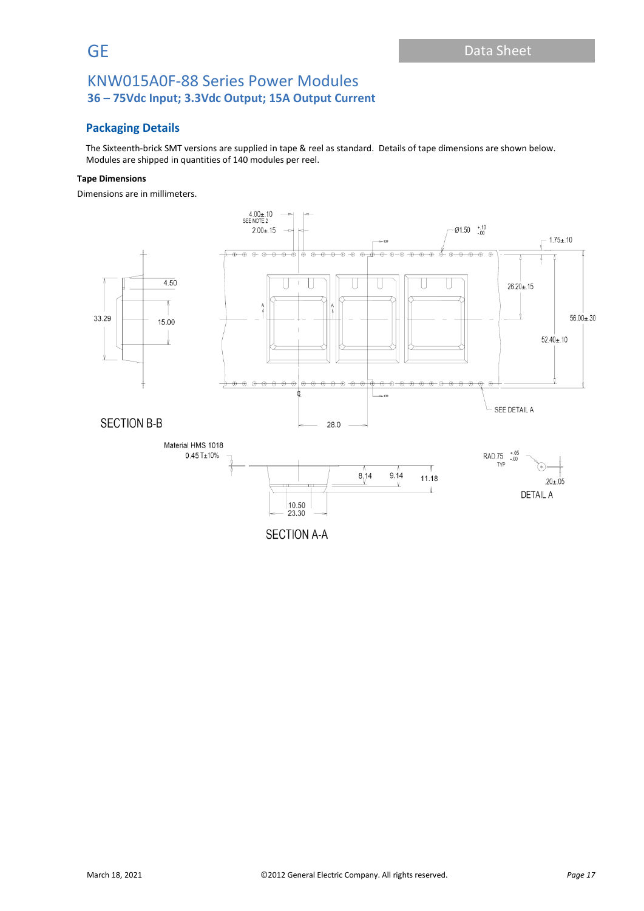## **Packaging Details**

The Sixteenth-brick SMT versions are supplied in tape & reel as standard. Details of tape dimensions are shown below. Modules are shipped in quantities of 140 modules per reel.

#### **Tape Dimensions**

Dimensions are in millimeters.